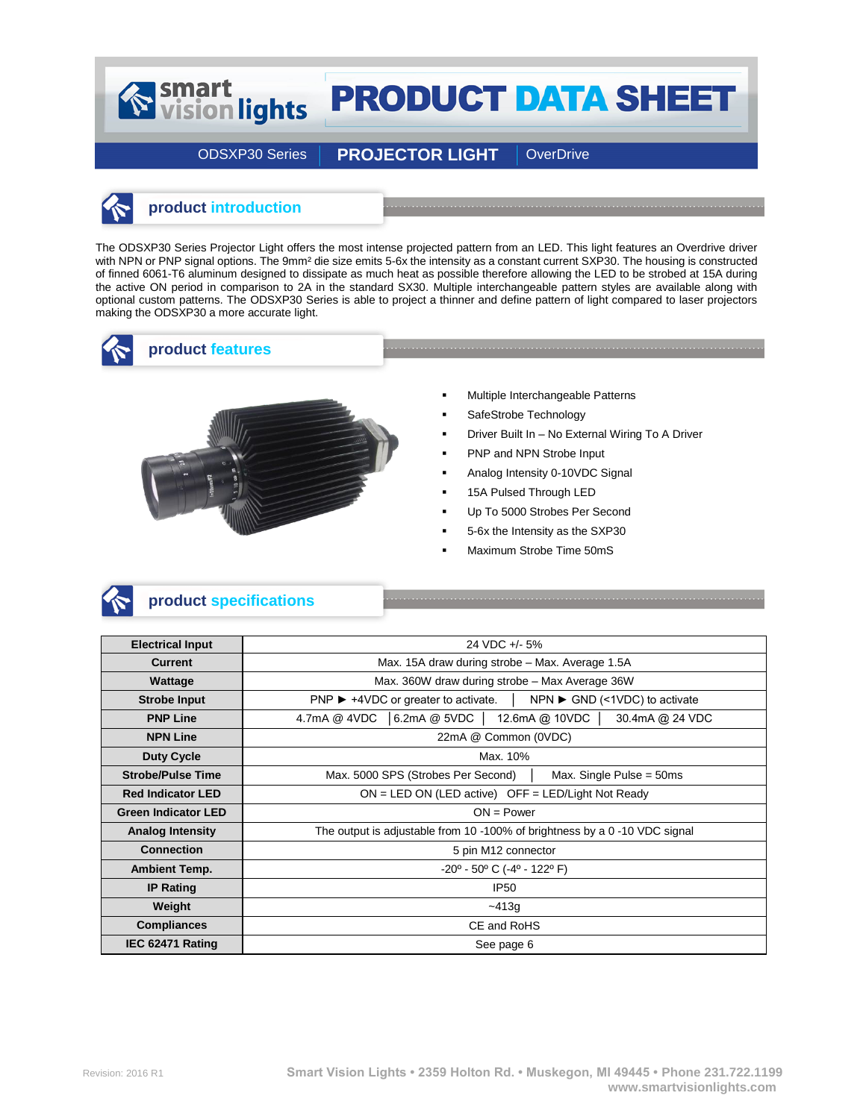# **PRODUCT DATA SHEET**

ODSXP30 Series | PROJECTOR LIGHT | OverDrive

## **product introduction**

Smart<br>
vision lights

The ODSXP30 Series Projector Light offers the most intense projected pattern from an LED. This light features an Overdrive driver with NPN or PNP signal options. The 9mm<sup>2</sup> die size emits 5-6x the intensity as a constant current SXP30. The housing is constructed of finned 6061-T6 aluminum designed to dissipate as much heat as possible therefore allowing the LED to be strobed at 15A during the active ON period in comparison to 2A in the standard SX30. Multiple interchangeable pattern styles are available along with optional custom patterns. The ODSXP30 Series is able to project a thinner and define pattern of light compared to laser projectors making the ODSXP30 a more accurate light.



#### **product features**



- Multiple Interchangeable Patterns
- SafeStrobe Technology
- Driver Built In No External Wiring To A Driver

- PNP and NPN Strobe Input
- Analog Intensity 0-10VDC Signal
- 15A Pulsed Through LED
- Up To 5000 Strobes Per Second
- 5-6x the Intensity as the SXP30
- Maximum Strobe Time 50mS



#### **product specifications**

| <b>Electrical Input</b>    | 24 VDC +/- 5%                                                                                             |  |  |  |  |  |  |
|----------------------------|-----------------------------------------------------------------------------------------------------------|--|--|--|--|--|--|
| <b>Current</b>             | Max. 15A draw during strobe - Max. Average 1.5A                                                           |  |  |  |  |  |  |
| Wattage                    | Max. 360W draw during strobe - Max Average 36W                                                            |  |  |  |  |  |  |
| <b>Strobe Input</b>        | $NPN \triangleright$ GND (<1VDC) to activate<br>$PNP$ $\blacktriangleright$ +4VDC or greater to activate. |  |  |  |  |  |  |
| <b>PNP Line</b>            | 4.7mA @ 4VDC   6.2mA @ 5VDC<br>12.6mA @ 10VDC<br>30.4mA @ 24 VDC                                          |  |  |  |  |  |  |
| <b>NPN Line</b>            | 22mA @ Common (0VDC)                                                                                      |  |  |  |  |  |  |
| <b>Duty Cycle</b>          | Max. 10%                                                                                                  |  |  |  |  |  |  |
| <b>Strobe/Pulse Time</b>   | Max. 5000 SPS (Strobes Per Second)<br>Max. Single Pulse = $50ms$                                          |  |  |  |  |  |  |
| <b>Red Indicator LED</b>   | $ON = LED ON (LED active)$ OFF = LED/Light Not Ready                                                      |  |  |  |  |  |  |
| <b>Green Indicator LED</b> | $ON = Power$                                                                                              |  |  |  |  |  |  |
| <b>Analog Intensity</b>    | The output is adjustable from 10 -100% of brightness by a 0 -10 VDC signal                                |  |  |  |  |  |  |
| <b>Connection</b>          | 5 pin M12 connector                                                                                       |  |  |  |  |  |  |
| <b>Ambient Temp.</b>       | $-20^{\circ}$ - 50° C (-4° - 122° F)                                                                      |  |  |  |  |  |  |
| <b>IP Rating</b>           | <b>IP50</b>                                                                                               |  |  |  |  |  |  |
| Weight                     | $-413q$                                                                                                   |  |  |  |  |  |  |
| <b>Compliances</b>         | CE and RoHS                                                                                               |  |  |  |  |  |  |
| IEC 62471 Rating           | See page 6                                                                                                |  |  |  |  |  |  |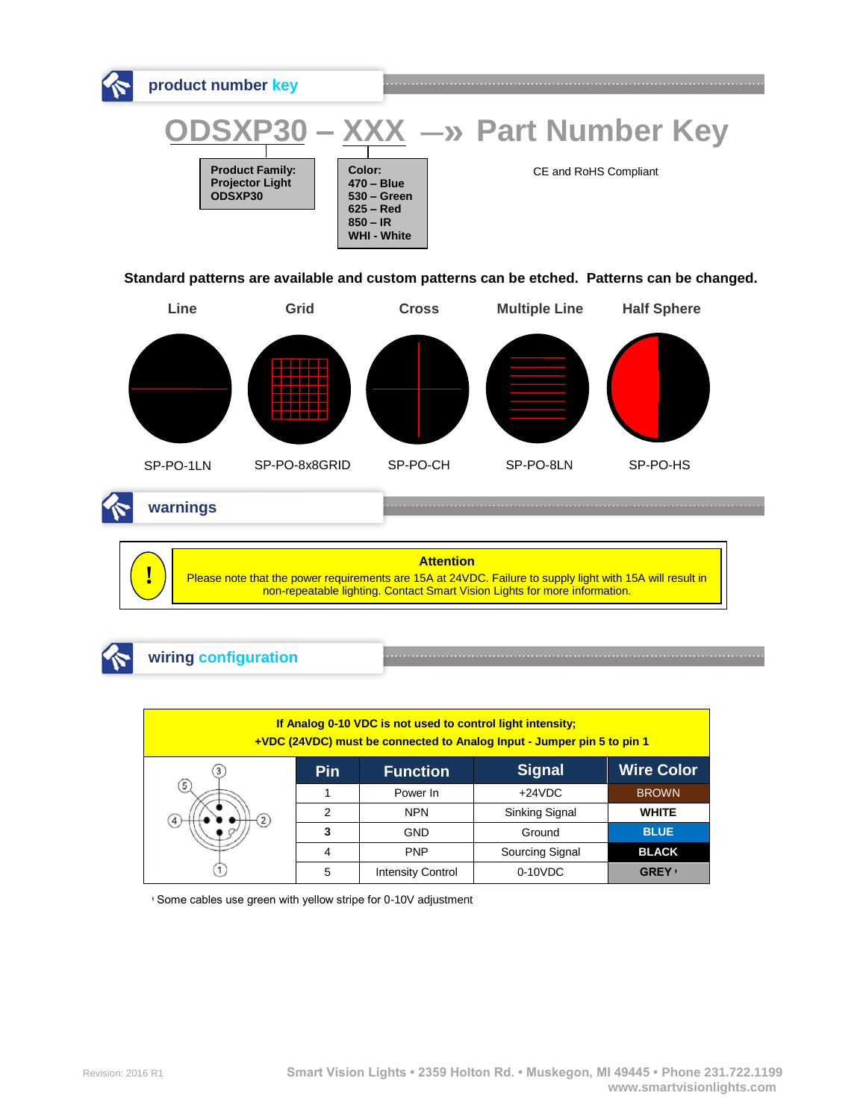

**Standard patterns are available and custom patterns can be etched. Patterns can be changed.**



**warnings**

**Attention** Please note that the power requirements are 15A at 24VDC. Failure to supply light with 15A will result in non-repeatable lighting. Contact Smart Vision Lights for more information. **!**





| If Analog 0-10 VDC is not used to control light intensity;<br>+VDC (24VDC) must be connected to Analog Input - Jumper pin 5 to pin 1 |            |                          |                 |                   |  |  |  |  |
|--------------------------------------------------------------------------------------------------------------------------------------|------------|--------------------------|-----------------|-------------------|--|--|--|--|
|                                                                                                                                      | <b>Pin</b> | <b>Function</b>          | <b>Signal</b>   | <b>Wire Color</b> |  |  |  |  |
| $\left(5\right)$                                                                                                                     |            | Power In                 | $+24VDC$        | <b>BROWN</b>      |  |  |  |  |
| $\mathbf{2}$                                                                                                                         | າ          | <b>NPN</b>               | Sinking Signal  | <b>WHITE</b>      |  |  |  |  |
|                                                                                                                                      |            | <b>GND</b>               | Ground          | <b>BLUE</b>       |  |  |  |  |
|                                                                                                                                      | 4          | <b>PNP</b>               | Sourcing Signal | <b>BLACK</b>      |  |  |  |  |
|                                                                                                                                      | 5          | <b>Intensity Control</b> | $0-10VDC$       | <b>GREY</b> +     |  |  |  |  |

ᶧ Some cables use green with yellow stripe for 0-10V adjustment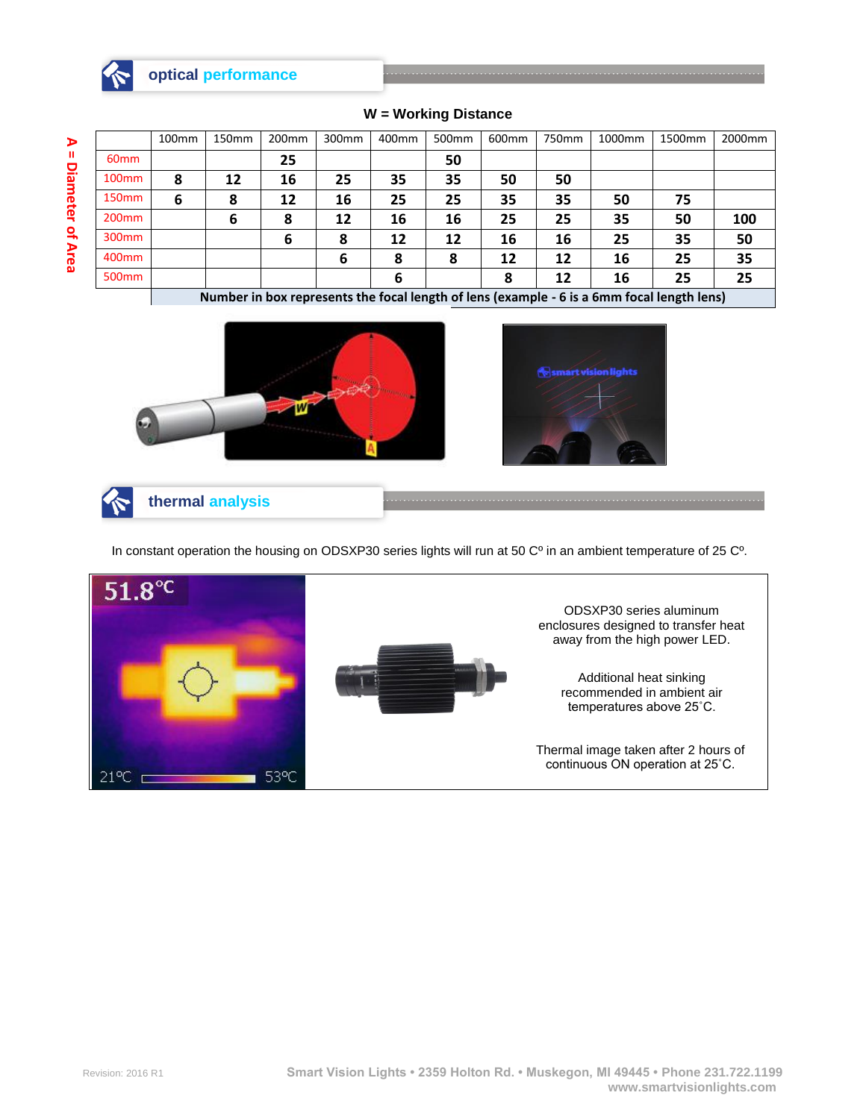

### **optical performance**

**A = Diameter of Area**

|                   | 100 <sub>mm</sub>                                                                          | 150 <sub>mm</sub> | 200 <sub>mm</sub> | 300 <sub>mm</sub> | 400mm | 500 <sub>mm</sub> | 600 <sub>mm</sub> | 750mm | 1000mm | 1500mm | 2000 <sub>mm</sub> |
|-------------------|--------------------------------------------------------------------------------------------|-------------------|-------------------|-------------------|-------|-------------------|-------------------|-------|--------|--------|--------------------|
| 60 <sub>mm</sub>  |                                                                                            |                   | 25                |                   |       | 50                |                   |       |        |        |                    |
| 100 <sub>mm</sub> | 8                                                                                          | 12                | 16                | 25                | 35    | 35                | 50                | 50    |        |        |                    |
| 150 <sub>mm</sub> | 6                                                                                          | 8                 | 12                | 16                | 25    | 25                | 35                | 35    | 50     | 75     |                    |
| 200 <sub>mm</sub> |                                                                                            | 6                 | 8                 | 12                | 16    | 16                | 25                | 25    | 35     | 50     | 100                |
| 300 <sub>mm</sub> |                                                                                            |                   | 6                 | 8                 | 12    | 12                | 16                | 16    | 25     | 35     | 50                 |
| 400 <sub>mm</sub> |                                                                                            |                   |                   | 6                 | 8     | 8                 | 12                | 12    | 16     | 25     | 35                 |
| 500 <sub>mm</sub> |                                                                                            |                   |                   |                   | 6     |                   | 8                 | 12    | 16     | 25     | 25                 |
|                   | Number in box represents the focal length of lens (example - 6 is a 6mm focal length lens) |                   |                   |                   |       |                   |                   |       |        |        |                    |

#### **W = Working Distance**



**thermal analysis**

In constant operation the housing on ODSXP30 series lights will run at 50 C<sup>o</sup> in an ambient temperature of 25 C<sup>o</sup>.

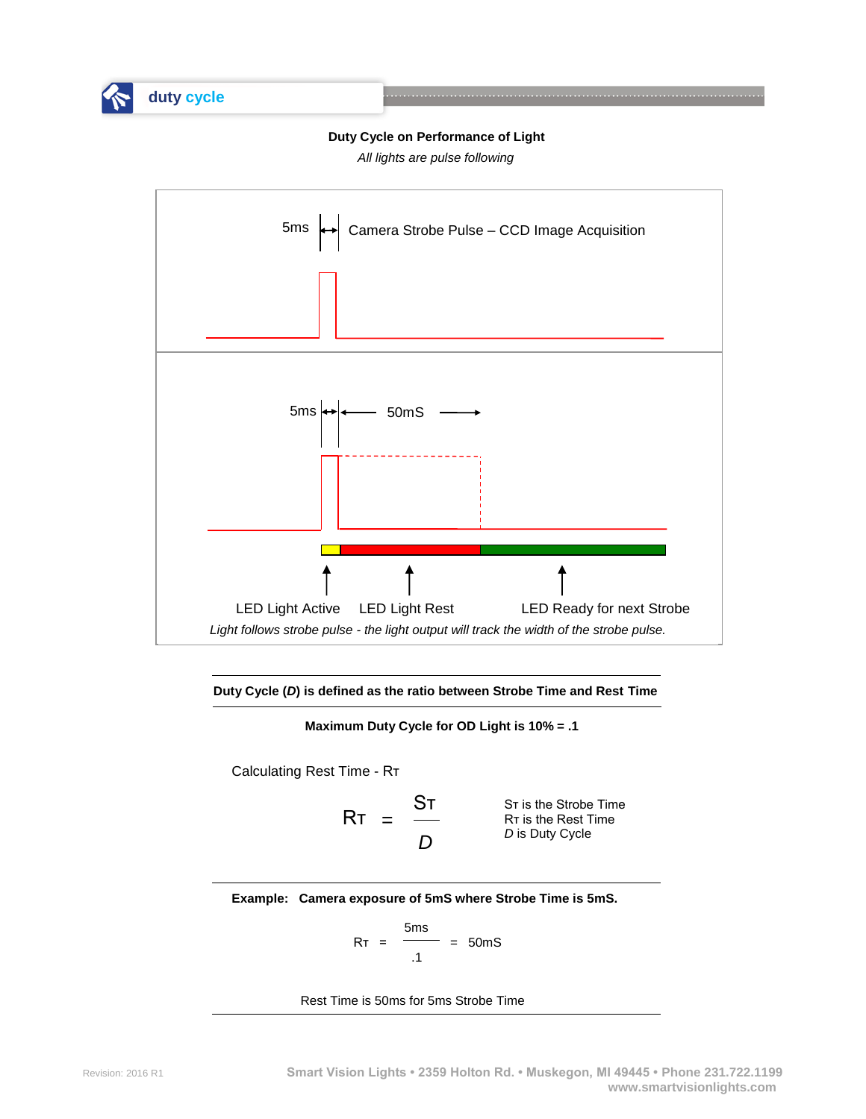

**duty cycle** 

**Duty Cycle on Performance of Light**

*All lights are pulse following*





**Maximum Duty Cycle for OD Light is 10% = .1**

Calculating Rest Time - Rт

$$
RT = \frac{ST}{D}
$$

Sт is the Strobe Time Rт is the Rest Time *D* is Duty Cycle

**Example: Camera exposure of 5mS where Strobe Time is 5mS.**

$$
RT = \frac{5ms}{.1} = 50ms
$$

Rest Time is 50ms for 5ms Strobe Time